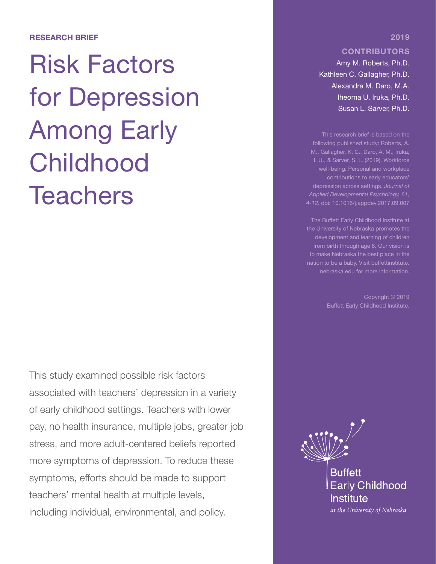#### RESEARCH BRIEF

# Risk Factors for Depression Among Early Childhood **Teachers**

This study examined possible risk factors associated with teachers' depression in a variety of early childhood settings. Teachers with lower pay, no health insurance, multiple jobs, greater job stress, and more adult-centered beliefs reported more symptoms of depression. To reduce these symptoms, efforts should be made to support teachers' mental health at multiple levels, including individual, environmental, and policy.

### **CONTRIBUTORS**

2019

Amy M. Roberts, Ph.D. Kathleen C. Gallagher, Ph.D. Alexandra M. Daro, M.A. Iheoma U. Iruka, Ph.D. Susan L. Sarver, Ph.D.

This research brief is based on the following published study: Roberts, A. M., Gallagher, K. C., Daro, A. M., Iruka, contributions to early educators' depression across settings. *Journal of Applied Developmental Psychology, 61, 4-12*. doi: 10.1016/j.appdev.2017.09.007

the University of Nebraska promotes the from birth through age 8. Our vision is to make Nebraska the best place in the nebraska.edu for more information.

Copyright © 2019



at the University of Nebraska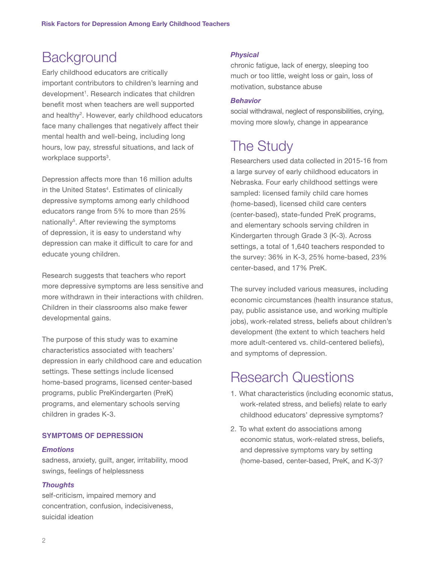### **Background**

Early childhood educators are critically important contributors to children's learning and development<sup>1</sup>. Research indicates that children benefit most when teachers are well supported and healthy<sup>2</sup>. However, early childhood educators face many challenges that negatively affect their mental health and well-being, including long hours, low pay, stressful situations, and lack of workplace supports<sup>3</sup>.

Depression affects more than 16 million adults in the United States<sup>4</sup>. Estimates of clinically depressive symptoms among early childhood educators range from 5% to more than 25% nationally<sup>5</sup>. After reviewing the symptoms of depression, it is easy to understand why depression can make it difficult to care for and educate young children.

Research suggests that teachers who report more depressive symptoms are less sensitive and more withdrawn in their interactions with children. Children in their classrooms also make fewer developmental gains.

The purpose of this study was to examine characteristics associated with teachers' depression in early childhood care and education settings. These settings include licensed home-based programs, licensed center-based programs, public PreKindergarten (PreK) programs, and elementary schools serving children in grades K-3.

### **SYMPTOMS OF DEPRESSION**

### *Emotions*

sadness, anxiety, guilt, anger, irritability, mood swings, feelings of helplessness

### *Thoughts*

self-criticism, impaired memory and concentration, confusion, indecisiveness, suicidal ideation

### *Physical*

chronic fatigue, lack of energy, sleeping too much or too little, weight loss or gain, loss of motivation, substance abuse

#### *Behavior*

social withdrawal, neglect of responsibilities, crying, moving more slowly, change in appearance

## The Study

Researchers used data collected in 2015-16 from a large survey of early childhood educators in Nebraska. Four early childhood settings were sampled: licensed family child care homes (home-based), licensed child care centers (center-based), state-funded PreK programs, and elementary schools serving children in Kindergarten through Grade 3 (K-3). Across settings, a total of 1,640 teachers responded to the survey: 36% in K-3, 25% home-based, 23% center-based, and 17% PreK.

The survey included various measures, including economic circumstances (health insurance status, pay, public assistance use, and working multiple jobs), work-related stress, beliefs about children's development (the extent to which teachers held more adult-centered vs. child-centered beliefs), and symptoms of depression.

### Research Questions

- 1. What characteristics (including economic status, work-related stress, and beliefs) relate to early childhood educators' depressive symptoms?
- 2. To what extent do associations among economic status, work-related stress, beliefs, and depressive symptoms vary by setting (home-based, center-based, PreK, and K-3)?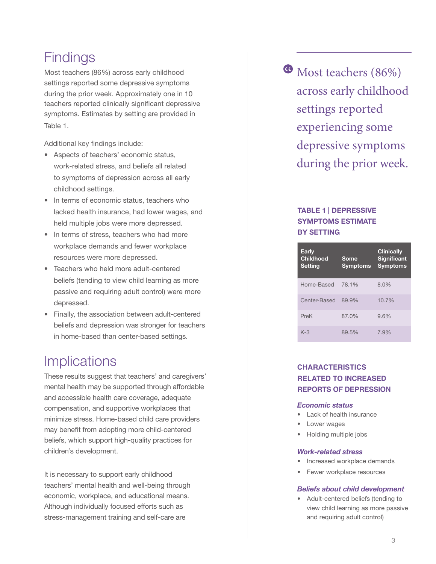### **Findings**

Most teachers (86%) across early childhood settings reported some depressive symptoms during the prior week. Approximately one in 10 teachers reported clinically significant depressive symptoms. Estimates by setting are provided in Table 1.

Additional key findings include:

- Aspects of teachers' economic status, work-related stress, and beliefs all related to symptoms of depression across all early childhood settings.
- In terms of economic status, teachers who lacked health insurance, had lower wages, and held multiple jobs were more depressed.
- In terms of stress, teachers who had more workplace demands and fewer workplace resources were more depressed.
- Teachers who held more adult-centered beliefs (tending to view child learning as more passive and requiring adult control) were more depressed.
- Finally, the association between adult-centered beliefs and depression was stronger for teachers in home-based than center-based settings.

### **Implications**

These results suggest that teachers' and caregivers' mental health may be supported through affordable and accessible health care coverage, adequate compensation, and supportive workplaces that minimize stress. Home-based child care providers may benefit from adopting more child-centered beliefs, which support high-quality practices for children's development.

It is necessary to support early childhood teachers' mental health and well-being through economic, workplace, and educational means. Although individually focused efforts such as stress-management training and self-care are

<sup>6</sup> Most teachers (86%) across early childhood settings reported experiencing some depressive symptoms during the prior week.

### TABLE 1 | DEPRESSIVE SYMPTOMS ESTIMATE BY SETTING

| <b>Early</b><br><b>Childhood</b><br><b>Setting</b> | Some<br><b>Symptoms</b> | <b>Clinically</b><br><b>Significant</b><br><b>Symptoms</b> |
|----------------------------------------------------|-------------------------|------------------------------------------------------------|
| Home-Based                                         | 78.1%                   | 8.0%                                                       |
| Center-Based                                       | 89.9%                   | 10.7%                                                      |
| PreK                                               | 87.0%                   | 9.6%                                                       |
| $K-3$                                              | 89.5%                   | 7.9%                                                       |

### **CHARACTERISTICS RELATED TO INCREASED REPORTS OF DEPRESSION**

#### *Economic status*

- Lack of health insurance
- Lower wages
- Holding multiple jobs

#### *Work-related stress*

- Increased workplace demands
- Fewer workplace resources

### *Beliefs about child development*

• Adult-centered beliefs (tending to view child learning as more passive and requiring adult control)